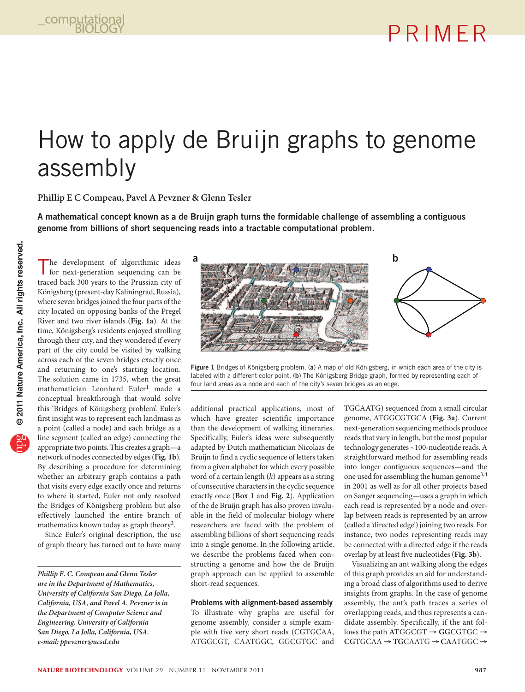# How to apply de Bruijn graphs to genome assembly

**Phillip E C Compeau, Pavel A Pevzner & Glenn Tesler**

A mathematical concept known as a de Bruijn graph turns the formidable challenge of assembling a contiguous genome from billions of short sequencing reads into a tractable computational problem.

The development of algorithmic ideas for next-generation sequencing can be traced back 300 years to the Prussian city of Königsberg (present-day Kaliningrad, Russia), where seven bridges joined the four parts of the city located on opposing banks of the Pregel River and two river islands (**Fig. 1a**). At the time, Königsberg's residents enjoyed strolling through their city, and they wondered if every part of the city could be visited by walking across each of the seven bridges exactly once and returning to one's starting location. The solution came in 1735, when the great mathematician Leonhard Euler<sup>1</sup> made a conceptual breakthrough that would solve this 'Bridges of Königsberg problem'. Euler's first insight was to represent each landmass as a point (called a node) and each bridge as a line segment (called an edge) connecting the appropriate two points. This creates a graph—a network of nodes connected by edges (**Fig. 1b**). By describing a procedure for determining whether an arbitrary graph contains a path that visits every edge exactly once and returns to where it started, Euler not only resolved the Bridges of Königsberg problem but also effectively launched the entire branch of mathematics known today as graph theory<sup>2</sup>.

Since Euler's original description, the use of graph theory has turned out to have many



Figure 1 Bridges of Königsberg problem. (a) A map of old Königsberg, in which each area of the city is labeled with a different color point. (b) The Königsberg Bridge graph, formed by representing each of four land areas as a node and each of the city's seven bridges as an edge.

additional practical applications, most of which have greater scientific importance than the development of walking itineraries. Specifically, Euler's ideas were subsequently adapted by Dutch mathematician Nicolaas de Bruijn to find a cyclic sequence of letters taken from a given alphabet for which every possible word of a certain length (*k*) appears as a string of consecutive characters in the cyclic sequence exactly once (**Box 1** and **Fig. 2**). Application of the de Bruijn graph has also proven invaluable in the field of molecular biology where researchers are faced with the problem of assembling billions of short sequencing reads into a single genome. In the following article, we describe the problems faced when constructing a genome and how the de Bruijn graph approach can be applied to assemble short-read sequences.

## Problems with alignment-based assembly

To illustrate why graphs are useful for genome assembly, consider a simple example with five very short reads (CGTGCAA, ATGGCGT, CAATGGC, GGCGTGC and

TGCAATG) sequenced from a small circular genome, ATGGCGTGCA (**Fig. 3a**). Current next-generation sequencing methods produce reads that vary in length, but the most popular technology generates ~100-nucleotide reads. A straightforward method for assembling reads into longer contiguous sequences—and the one used for assembling the human genome3,4 in 2001 as well as for all other projects based on Sanger sequencing—uses a graph in which each read is represented by a node and overlap between reads is represented by an arrow (called a 'directed edge') joining two reads. For instance, two nodes representing reads may be connected with a directed edge if the reads overlap by at least five nucleotides (**Fig. 3b**).

Visualizing an ant walking along the edges of this graph provides an aid for understanding a broad class of algorithms used to derive insights from graphs. In the case of genome assembly, the ant's path traces a series of overlapping reads, and thus represents a candidate assembly. Specifically, if the ant follows the path **AT**GGCGT → **GG**CGTGC → **CG**TGCAA → **TG**CAATG → **CA**ATGGC →

*Phillip E. C. Compeau and Glenn Tesler are in the Department of Mathematics, University of California San Diego, La Jolla, California, USA, and Pavel A. Pevzner is in the Department of Computer Science and Engineering, University of California San Diego, La Jolla, California, USA. e-mail: ppevzner@ucsd.edu*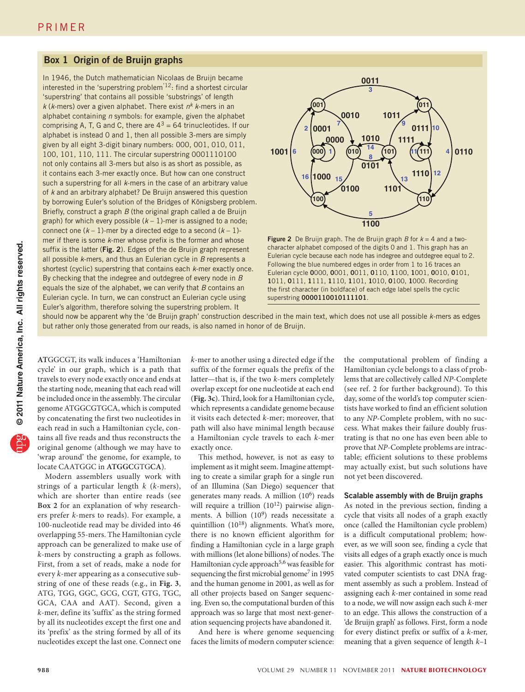## Box 1 Origin of de Bruijn graphs

In 1946, the Dutch mathematician Nicolaas de Bruijn became interested in the 'superstring problem'12: find a shortest circular 'superstring' that contains all possible 'substrings' of length *k* (*k*-mers) over a given alphabet. There exist *nk k*-mers in an alphabet containing *n* symbols: for example, given the alphabet comprising A, T, G and C, there are  $4^3 = 64$  trinucleotides. If our alphabet is instead 0 and 1, then all possible 3-mers are simply given by all eight 3-digit binary numbers: 000, 001, 010, 011, 100, 101, 110, 111. The circular superstring 0001110100 not only contains all 3-mers but also is as short as possible, as it contains each 3-mer exactly once. But how can one construct such a superstring for all *k*-mers in the case of an arbitrary value of *k* and an arbitrary alphabet? De Bruijn answered this question by borrowing Euler's solution of the Bridges of Königsberg problem. Briefly, construct a graph *B* (the original graph called a de Bruijn graph) for which every possible  $(k - 1)$ -mer is assigned to a node; connect one  $(k-1)$ -mer by a directed edge to a second  $(k-1)$ mer if there is some *k*-mer whose prefix is the former and whose suffix is the latter (Fig. 2). Edges of the de Bruijn graph represent all possible *k*-mers, and thus an Eulerian cycle in *B* represents a shortest (cyclic) superstring that contains each *k*-mer exactly once. By checking that the indegree and outdegree of every node in *B* equals the size of the alphabet, we can verify that *B* contains an Eulerian cycle. In turn, we can construct an Eulerian cycle using Euler's algorithm, therefore solving the superstring problem. It



**Figure 2** De Bruijn graph. The de Bruijn graph  $B$  for  $k = 4$  and a twocharacter alphabet composed of the digits 0 and 1. This graph has an Eulerian cycle because each node has indegree and outdegree equal to 2. Following the blue numbered edges in order from 1 to 16 traces an Eulerian cycle 0000, 0001, 0011, 0110, 1100, 1001, 0010, 0101, 1011, 0111, 1111, 1110, 1101, 1010, 0100, 1000. Recording the first character (in boldface) of each edge label spells the cyclic superstring 0000110010111101.

should now be apparent why the 'de Bruijn graph' construction described in the main text, which does not use all possible *k*-mers as edges but rather only those generated from our reads, is also named in honor of de Bruijn.

**AT**GGCGT, its walk induces a 'Hamiltonian cycle' in our graph, which is a path that travels to every node exactly once and ends at the starting node, meaning that each read will be included once in the assembly. The circular genome ATGGCGTGCA, which is computed by concatenating the first two nucleotides in each read in such a Hamiltonian cycle, contains all five reads and thus reconstructs the original genome (although we may have to 'wrap around' the genome, for example, to locate CAATGGC in **ATGGC**GTG**CA**).

Modern assemblers usually work with strings of a particular length *k* (*k*-mers), which are shorter than entire reads (see **Box 2** for an explanation of why researchers prefer *k*-mers to reads). For example, a 100-nucleotide read may be divided into 46 overlapping 55-mers. The Hamiltonian cycle approach can be generalized to make use of *k*-mers by constructing a graph as follows. First, from a set of reads, make a node for every *k*-mer appearing as a consecutive substring of one of these reads (e.g., in **Fig. 3**, ATG, TGG, GGC, GCG, CGT, GTG, TGC, GCA, CAA and AAT). Second, given a *k*-mer, define its 'suffix' as the string formed by all its nucleotides except the first one and its 'prefix' as the string formed by all of its nucleotides except the last one. Connect one *k*-mer to another using a directed edge if the suffix of the former equals the prefix of the latter—that is, if the two *k*-mers completely overlap except for one nucleotide at each end (**Fig. 3c**). Third, look for a Hamiltonian cycle, which represents a candidate genome because it visits each detected *k*-mer; moreover, that path will also have minimal length because a Hamiltonian cycle travels to each *k*-mer exactly once.

This method, however, is not as easy to implement as it might seem. Imagine attempting to create a similar graph for a single run of an Illumina (San Diego) sequencer that generates many reads. A million  $(10^6)$  reads will require a trillion  $(10^{12})$  pairwise alignments. A billion (10<sup>9</sup>) reads necessitate a quintillion  $(10^{18})$  alignments. What's more, there is no known efficient algorithm for finding a Hamiltonian cycle in a large graph with millions (let alone billions) of nodes. The Hamiltonian cycle approach<sup>5,6</sup> was feasible for sequencing the first microbial genome<sup>7</sup> in 1995 and the human genome in 2001, as well as for all other projects based on Sanger sequencing. Even so, the computational burden of this approach was so large that most next-generation sequencing projects have abandoned it.

And here is where genome sequencing faces the limits of modern computer science:

the computational problem of finding a Hamiltonian cycle belongs to a class of problems that are collectively called *NP*-Complete (see ref. 2 for further background). To this day, some of the world's top computer scientists have worked to find an efficient solution to any *NP*-Complete problem, with no success. What makes their failure doubly frustrating is that no one has even been able to prove that *NP*-Complete problems are intractable; efficient solutions to these problems may actually exist, but such solutions have not yet been discovered.

## Scalable assembly with de Bruijn graphs

As noted in the previous section, finding a cycle that visits all nodes of a graph exactly once (called the Hamiltonian cycle problem) is a difficult computational problem; however, as we will soon see, finding a cycle that visits all edges of a graph exactly once is much easier. This algorithmic contrast has motivated computer scientists to cast DNA fragment assembly as such a problem. Instead of assigning each *k*-mer contained in some read to a node, we will now assign each such *k*-mer to an edge. This allows the construction of a 'de Bruijn graph' as follows. First, form a node for every distinct prefix or suffix of a *k*-mer, meaning that a given sequence of length *k*–1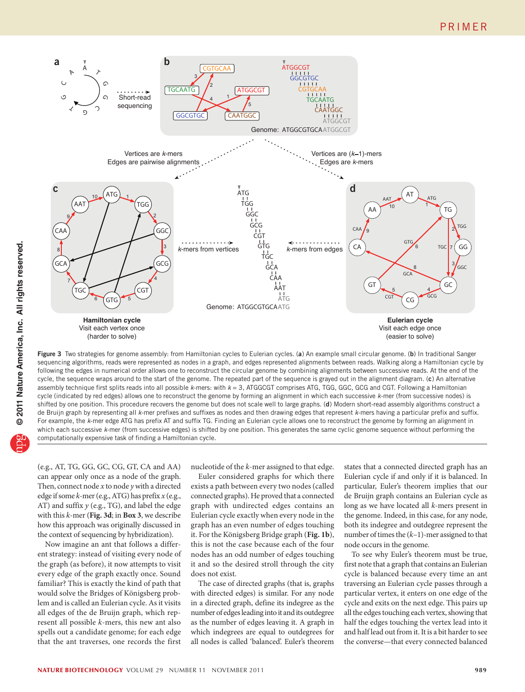

Figure 3 Two strategies for genome assembly: from Hamiltonian cycles to Eulerian cycles. (a) An example small circular genome. (b) In traditional Sanger sequencing algorithms, reads were represented as nodes in a graph, and edges represented alignments between reads. Walking along a Hamiltonian cycle by following the edges in numerical order allows one to reconstruct the circular genome by combining alignments between successive reads. At the end of the cycle, the sequence wraps around to the start of the genome. The repeated part of the sequence is grayed out in the alignment diagram. (c) An alternative assembly technique first splits reads into all possible *k*-mers: with *k* = 3, ATGGCGT comprises ATG, TGG, GGC, GCG and CGT. Following a Hamiltonian cycle (indicated by red edges) allows one to reconstruct the genome by forming an alignment in which each successive *k*-mer (from successive nodes) is shifted by one position. This procedure recovers the genome but does not scale well to large graphs. (d) Modern short-read assembly algorithms construct a de Bruijn graph by representing all *k*-mer prefixes and suffixes as nodes and then drawing edges that represent *k*-mers having a particular prefix and suffix. For example, the *k*-mer edge ATG has prefix AT and suffix TG. Finding an Eulerian cycle allows one to reconstruct the genome by forming an alignment in which each successive *k*-mer (from successive edges) is shifted by one position. This generates the same cyclic genome sequence without performing the computationally expensive task of finding a Hamiltonian cycle.

(e.g., AT, TG, GG, GC, CG, GT, CA and AA) can appear only once as a node of the graph. Then, connect node *x* to node *y* with a directed edge if some *k*-mer (e.g., ATG) has prefix *x* (e.g., AT) and suffix *y* (e.g., TG), and label the edge with this *k*-mer (**Fig. 3d**; in **Box 3**, we describe how this approach was originally discussed in the context of sequencing by hybridization).

Now imagine an ant that follows a different strategy: instead of visiting every node of the graph (as before), it now attempts to visit every edge of the graph exactly once. Sound familiar? This is exactly the kind of path that would solve the Bridges of Königsberg problem and is called an Eulerian cycle. As it visits all edges of the de Bruijn graph, which represent all possible *k*-mers, this new ant also spells out a candidate genome; for each edge that the ant traverses, one records the first

nucleotide of the *k*-mer assigned to that edge.

Euler considered graphs for which there exists a path between every two nodes (called connected graphs). He proved that a connected graph with undirected edges contains an Eulerian cycle exactly when every node in the graph has an even number of edges touching it. For the Königsberg Bridge graph (**Fig. 1b**), this is not the case because each of the four nodes has an odd number of edges touching it and so the desired stroll through the city does not exist.

The case of directed graphs (that is, graphs with directed edges) is similar. For any node in a directed graph, define its indegree as the number of edges leading into it and its outdegree as the number of edges leaving it. A graph in which indegrees are equal to outdegrees for all nodes is called 'balanced'. Euler's theorem

states that a connected directed graph has an Eulerian cycle if and only if it is balanced. In particular, Euler's theorem implies that our de Bruijn graph contains an Eulerian cycle as long as we have located all *k*-mers present in the genome. Indeed, in this case, for any node, both its indegree and outdegree represent the number of times the (*k*–1)-mer assigned to that node occurs in the genome.

To see why Euler's theorem must be true, first note that a graph that contains an Eulerian cycle is balanced because every time an ant traversing an Eulerian cycle passes through a particular vertex, it enters on one edge of the cycle and exits on the next edge. This pairs up all the edges touching each vertex, showing that half the edges touching the vertex lead into it and half lead out from it. It is a bit harder to see the converse—that every connected balanced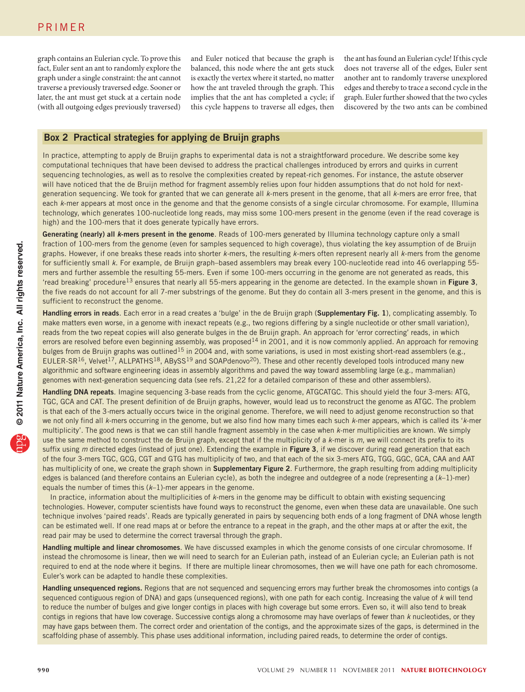graph contains an Eulerian cycle. To prove this fact, Euler sent an ant to randomly explore the graph under a single constraint: the ant cannot traverse a previously traversed edge. Sooner or later, the ant must get stuck at a certain node (with all outgoing edges previously traversed)

and Euler noticed that because the graph is balanced, this node where the ant gets stuck is exactly the vertex where it started, no matter how the ant traveled through the graph. This implies that the ant has completed a cycle; if this cycle happens to traverse all edges, then

the ant has found an Eulerian cycle! If this cycle does not traverse all of the edges, Euler sent another ant to randomly traverse unexplored edges and thereby to trace a second cycle in the graph. Euler further showed that the two cycles discovered by the two ants can be combined

# Box 2 Practical strategies for applying de Bruijn graphs

In practice, attempting to apply de Bruijn graphs to experimental data is not a straightforward procedure. We describe some key computational techniques that have been devised to address the practical challenges introduced by errors and quirks in current sequencing technologies, as well as to resolve the complexities created by repeat-rich genomes. For instance, the astute observer will have noticed that the de Bruijn method for fragment assembly relies upon four hidden assumptions that do not hold for nextgeneration sequencing. We took for granted that we can generate all *k*-mers present in the genome, that all *k*-mers are error free, that each *k*-mer appears at most once in the genome and that the genome consists of a single circular chromosome. For example, Illumina technology, which generates 100-nucleotide long reads, may miss some 100-mers present in the genome (even if the read coverage is high) and the 100-mers that it does generate typically have errors.

Generating (nearly) all *k*-mers present in the genome. Reads of 100-mers generated by Illumina technology capture only a small fraction of 100-mers from the genome (even for samples sequenced to high coverage), thus violating the key assumption of de Bruijn graphs. However, if one breaks these reads into shorter *k-*mers, the resulting *k*-mers often represent nearly all *k*-mers from the genome for sufficiently small *k*. For example, de Bruijn graph–based assemblers may break every 100-nucleotide read into 46 overlapping 55 mers and further assemble the resulting 55-mers. Even if some 100-mers occurring in the genome are not generated as reads, this 'read breaking' procedure<sup>13</sup> ensures that nearly all 55-mers appearing in the genome are detected. In the example shown in Figure 3, the five reads do not account for all 7-mer substrings of the genome. But they do contain all 3-mers present in the genome, and this is sufficient to reconstruct the genome.

Handling errors in reads. Each error in a read creates a 'bulge' in the de Bruijn graph (Supplementary Fig. 1), complicating assembly. To make matters even worse, in a genome with inexact repeats (e.g., two regions differing by a single nucleotide or other small variation), reads from the two repeat copies will also generate bulges in the de Bruijn graph. An approach for 'error correcting' reads, in which errors are resolved before even beginning assembly, was proposed<sup>14</sup> in 2001, and it is now commonly applied. An approach for removing bulges from de Bruijn graphs was outlined<sup>15</sup> in 2004 and, with some variations, is used in most existing short-read assemblers (e.g., EULER-SR<sup>16</sup>, Velvet<sup>17</sup>, ALLPATHS<sup>18</sup>, ABySS<sup>19</sup> and SOAPdenovo<sup>20</sup>). These and other recently developed tools introduced many new algorithmic and software engineering ideas in assembly algorithms and paved the way toward assembling large (e.g., mammalian) genomes with next-generation sequencing data (see refs. 21,22 for a detailed comparison of these and other assemblers).

Handling DNA repeats. Imagine sequencing 3-base reads from the cyclic genome, ATGCATGC. This should yield the four 3-mers: ATG, TGC, GCA and CAT. The present definition of de Bruijn graphs, however, would lead us to reconstruct the genome as ATGC. The problem is that each of the 3*-*mers actually occurs twice in the original genome. Therefore, we will need to adjust genome reconstruction so that we not only find all *k*-mers occurring in the genome, but we also find how many times each such *k*-mer appears, which is called its '*k*-mer multiplicity'. The good news is that we can still handle fragment assembly in the case when *k*-mer multiplicities are known. We simply use the same method to construct the de Bruijn graph, except that if the multiplicity of a *k*-mer is *m*, we will connect its prefix to its suffix using *m* directed edges (instead of just one). Extending the example in Figure 3, if we discover during read generation that each of the four 3-mers TGC, GCG, CGT and GTG has multiplicity of two, and that each of the six 3-mers ATG, TGG, GGC, GCA, CAA and AAT has multiplicity of one, we create the graph shown in **Supplementary Figure 2**. Furthermore, the graph resulting from adding multiplicity edges is balanced (and therefore contains an Eulerian cycle), as both the indegree and outdegree of a node (representing a (*k*–1)-mer) equals the number of times this (*k*–1)-mer appears in the genome.

In practice, information about the multiplicities of *k*-mers in the genome may be difficult to obtain with existing sequencing technologies. However, computer scientists have found ways to reconstruct the genome, even when these data are unavailable. One such technique involves 'paired reads'. Reads are typically generated in pairs by sequencing both ends of a long fragment of DNA whose length can be estimated well. If one read maps at or before the entrance to a repeat in the graph, and the other maps at or after the exit, the read pair may be used to determine the correct traversal through the graph.

Handling multiple and linear chromosomes. We have discussed examples in which the genome consists of one circular chromosome. If instead the chromosome is linear, then we will need to search for an Eulerian path, instead of an Eulerian cycle; an Eulerian path is not required to end at the node where it begins. If there are multiple linear chromosomes, then we will have one path for each chromosome. Euler's work can be adapted to handle these complexities.

Handling unsequenced regions. Regions that are not sequenced and sequencing errors may further break the chromosomes into contigs (a sequenced contiguous region of DNA) and gaps (unsequenced regions), with one path for each contig. Increasing the value of *k* will tend to reduce the number of bulges and give longer contigs in places with high coverage but some errors. Even so, it will also tend to break contigs in regions that have low coverage. Successive contigs along a chromosome may have overlaps of fewer than *k* nucleotides, or they may have gaps between them. The correct order and orientation of the contigs, and the approximate sizes of the gaps, is determined in the scaffolding phase of assembly. This phase uses additional information, including paired reads, to determine the order of contigs.